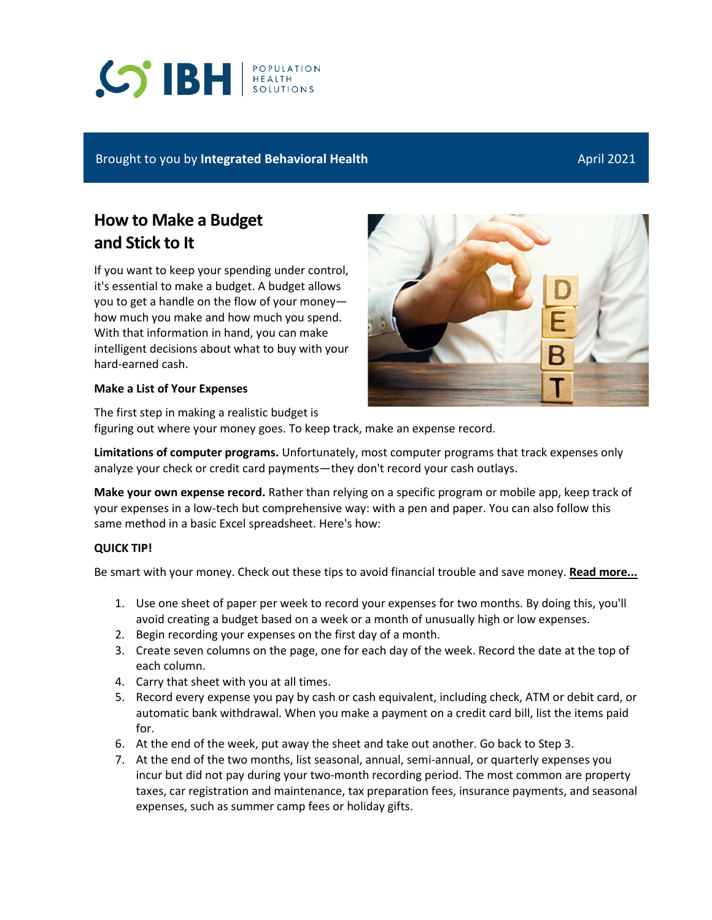# **S BH REALTH**

#### Brought to you by **Integrated Behavioral Health** April 2021 **April 2021**

## **How to Make a Budget and Stick to It**

If you want to keep your spending under control, it's essential to make a budget. A budget allows you to get a handle on the flow of your money how much you make and how much you spend. With that information in hand, you can make intelligent decisions about what to buy with your hard-earned cash.

#### **Make a List of Your Expenses**

The first step in making a realistic budget is figuring out where your money goes. To keep track, make an expense record.

**Limitations of computer programs.** Unfortunately, most computer programs that track expenses only analyze your check or credit card payments—they don't record your cash outlays.

**Make your own expense record.** Rather than relying on a specific program or mobile app, keep track of your expenses in a low-tech but comprehensive way: with a pen and paper. You can also follow this same method in a basic Excel spreadsheet. Here's how:

#### **QUICK TIP!**

Be smart with your money. Check out these tips to avoid financial trouble and save money. **[Read more...](http://reliantbh.personaladvantage.com/portal/content/sa/10019191;subject=10002846)**

- 1. Use one sheet of paper per week to record your expenses for two months. By doing this, you'll avoid creating a budget based on a week or a month of unusually high or low expenses.
- 2. Begin recording your expenses on the first day of a month.
- 3. Create seven columns on the page, one for each day of the week. Record the date at the top of each column.
- 4. Carry that sheet with you at all times.
- 5. Record every expense you pay by cash or cash equivalent, including check, ATM or debit card, or automatic bank withdrawal. When you make a payment on a credit card bill, list the items paid for.
- 6. At the end of the week, put away the sheet and take out another. Go back to Step 3.
- 7. At the end of the two months, list seasonal, annual, semi-annual, or quarterly expenses you incur but did not pay during your two-month recording period. The most common are property taxes, car registration and maintenance, tax preparation fees, insurance payments, and seasonal expenses, such as summer camp fees or holiday gifts.

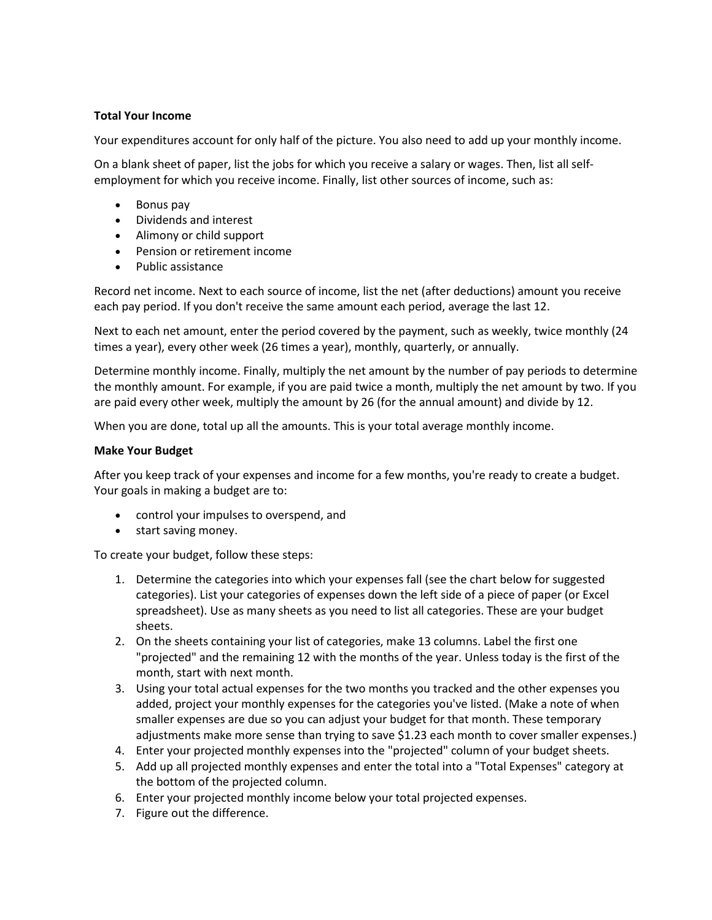#### **Total Your Income**

Your expenditures account for only half of the picture. You also need to add up your monthly income.

On a blank sheet of paper, list the jobs for which you receive a salary or wages. Then, list all selfemployment for which you receive income. Finally, list other sources of income, such as:

- Bonus pay
- Dividends and interest
- Alimony or child support
- Pension or retirement income
- Public assistance

Record net income. Next to each source of income, list the net (after deductions) amount you receive each pay period. If you don't receive the same amount each period, average the last 12.

Next to each net amount, enter the period covered by the payment, such as weekly, twice monthly (24 times a year), every other week (26 times a year), monthly, quarterly, or annually.

Determine monthly income. Finally, multiply the net amount by the number of pay periods to determine the monthly amount. For example, if you are paid twice a month, multiply the net amount by two. If you are paid every other week, multiply the amount by 26 (for the annual amount) and divide by 12.

When you are done, total up all the amounts. This is your total average monthly income.

#### **Make Your Budget**

After you keep track of your expenses and income for a few months, you're ready to create a budget. Your goals in making a budget are to:

- control your impulses to overspend, and
- start saving money.

To create your budget, follow these steps:

- 1. Determine the categories into which your expenses fall (see the chart below for suggested categories). List your categories of expenses down the left side of a piece of paper (or Excel spreadsheet). Use as many sheets as you need to list all categories. These are your budget sheets.
- 2. On the sheets containing your list of categories, make 13 columns. Label the first one "projected" and the remaining 12 with the months of the year. Unless today is the first of the month, start with next month.
- 3. Using your total actual expenses for the two months you tracked and the other expenses you added, project your monthly expenses for the categories you've listed. (Make a note of when smaller expenses are due so you can adjust your budget for that month. These temporary adjustments make more sense than trying to save \$1.23 each month to cover smaller expenses.)
- 4. Enter your projected monthly expenses into the "projected" column of your budget sheets.
- 5. Add up all projected monthly expenses and enter the total into a "Total Expenses" category at the bottom of the projected column.
- 6. Enter your projected monthly income below your total projected expenses.
- 7. Figure out the difference.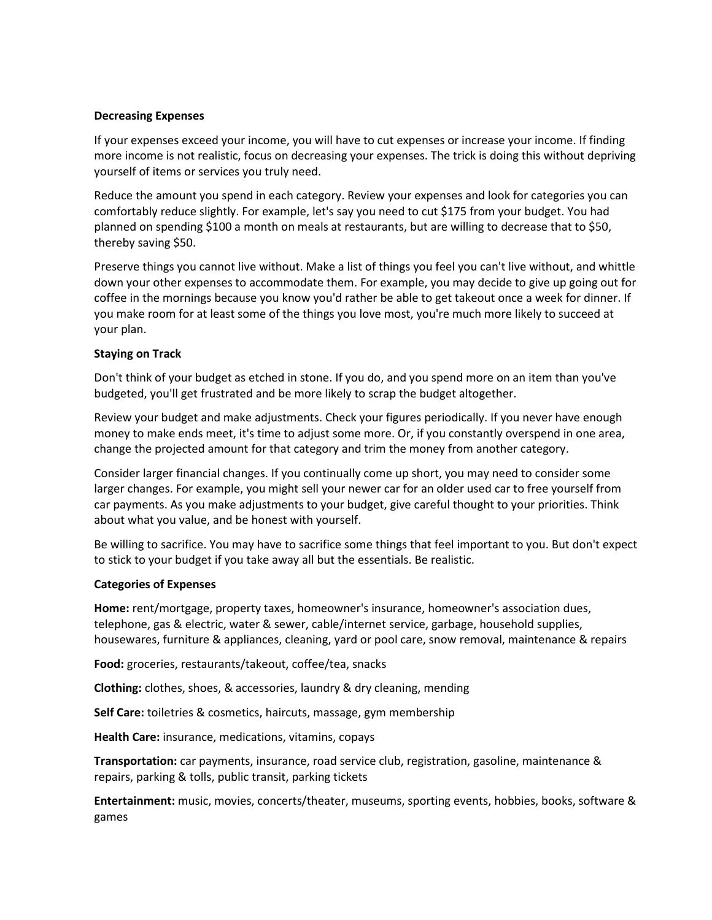#### **Decreasing Expenses**

If your expenses exceed your income, you will have to cut expenses or increase your income. If finding more income is not realistic, focus on decreasing your expenses. The trick is doing this without depriving yourself of items or services you truly need.

Reduce the amount you spend in each category. Review your expenses and look for categories you can comfortably reduce slightly. For example, let's say you need to cut \$175 from your budget. You had planned on spending \$100 a month on meals at restaurants, but are willing to decrease that to \$50, thereby saving \$50.

Preserve things you cannot live without. Make a list of things you feel you can't live without, and whittle down your other expenses to accommodate them. For example, you may decide to give up going out for coffee in the mornings because you know you'd rather be able to get takeout once a week for dinner. If you make room for at least some of the things you love most, you're much more likely to succeed at your plan.

#### **Staying on Track**

Don't think of your budget as etched in stone. If you do, and you spend more on an item than you've budgeted, you'll get frustrated and be more likely to scrap the budget altogether.

Review your budget and make adjustments. Check your figures periodically. If you never have enough money to make ends meet, it's time to adjust some more. Or, if you constantly overspend in one area, change the projected amount for that category and trim the money from another category.

Consider larger financial changes. If you continually come up short, you may need to consider some larger changes. For example, you might sell your newer car for an older used car to free yourself from car payments. As you make adjustments to your budget, give careful thought to your priorities. Think about what you value, and be honest with yourself.

Be willing to sacrifice. You may have to sacrifice some things that feel important to you. But don't expect to stick to your budget if you take away all but the essentials. Be realistic.

#### **Categories of Expenses**

**Home:** rent/mortgage, property taxes, homeowner's insurance, homeowner's association dues, telephone, gas & electric, water & sewer, cable/internet service, garbage, household supplies, housewares, furniture & appliances, cleaning, yard or pool care, snow removal, maintenance & repairs

**Food:** groceries, restaurants/takeout, coffee/tea, snacks

**Clothing:** clothes, shoes, & accessories, laundry & dry cleaning, mending

**Self Care:** toiletries & cosmetics, haircuts, massage, gym membership

**Health Care:** insurance, medications, vitamins, copays

**Transportation:** car payments, insurance, road service club, registration, gasoline, maintenance & repairs, parking & tolls, public transit, parking tickets

**Entertainment:** music, movies, concerts/theater, museums, sporting events, hobbies, books, software & games